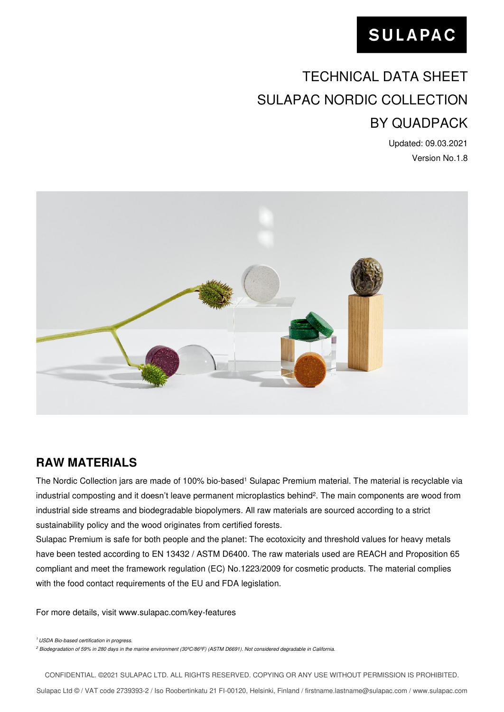# TECHNICAL DATA SHEET SULAPAC NORDIC COLLECTION BY QUADPACK

Updated: 09.03.2021 Version No.1.8



## **RAW MATERIALS**

The Nordic Collection jars are made of 100% bio-based<sup>1</sup> Sulapac Premium material. The material is recyclable via industrial composting and it doesn't leave permanent microplastics behind<sup>2</sup>. The main components are wood from industrial side streams and biodegradable biopolymers. All raw materials are sourced according to a strict sustainability policy and the wood originates from certified forests.

Sulapac Premium is safe for both people and the planet: The ecotoxicity and threshold values for heavy metals have been tested according to EN 13432 / ASTM D6400. The raw materials used are REACH and Proposition 65 compliant and meet the framework regulation (EC) No.1223/2009 for cosmetic products. The material complies with the food contact requirements of the EU and FDA legislation.

For more details, visit www.sulapac.com/key-features

<sup>1</sup> USDA Bio-based certification in progress.

 $^2$  Biodegradation of 59% in 280 days in the marine environment (30ºC/86ºF) (ASTM D6691). Not considered degradable in California.

CONFIDENTIAL. ©2021 SULAPAC LTD. ALL RIGHTS RESERVED. COPYING OR ANY USE WITHOUT PERMISSION IS PROHIBITED.

Sulapac Ltd © / VAT code 2739393-2 / Iso Roobertinkatu 21 FI-00120, Helsinki, Finland [/ firstname.lastname@sulapac.com](mailto:firstname.lastname@sulapac.com) / www.sulapac.com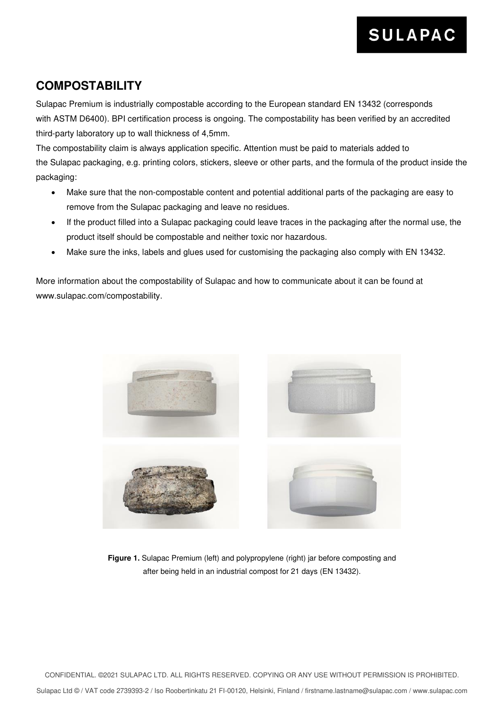### **COMPOSTABILITY**

Sulapac Premium is industrially compostable according to the European standard EN 13432 (corresponds with ASTM D6400). BPI certification process is ongoing. The compostability has been verified by an accredited third-party laboratory up to wall thickness of 4,5mm.

The compostability claim is always application specific. Attention must be paid to materials added to the Sulapac packaging, e.g. printing colors, stickers, sleeve or other parts, and the formula of the product inside the packaging:

- Make sure that the non-compostable content and potential additional parts of the packaging are easy to remove from the Sulapac packaging and leave no residues.
- If the product filled into a Sulapac packaging could leave traces in the packaging after the normal use, the product itself should be compostable and neither toxic nor hazardous.
- Make sure the inks, labels and glues used for customising the packaging also comply with EN 13432.

More information about the compostability of Sulapac and how to communicate about it can be found at www.sulapac.com/compostability.



**Figure 1.** Sulapac Premium (left) and polypropylene (right) jar before composting and after being held in an industrial compost for 21 days (EN 13432).

CONFIDENTIAL. ©2021 SULAPAC LTD. ALL RIGHTS RESERVED. COPYING OR ANY USE WITHOUT PERMISSION IS PROHIBITED.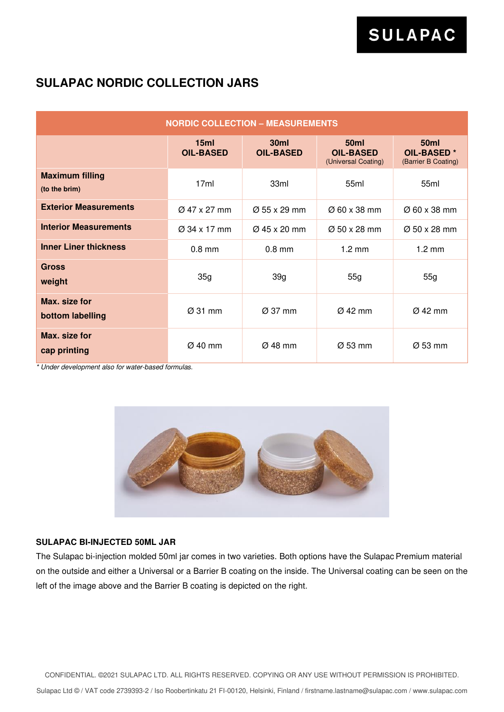### **SULAPAC NORDIC COLLECTION JARS**

| <b>NORDIC COLLECTION - MEASUREMENTS</b> |                          |                          |                                                        |                                                              |  |
|-----------------------------------------|--------------------------|--------------------------|--------------------------------------------------------|--------------------------------------------------------------|--|
|                                         | 15ml<br><b>OIL-BASED</b> | 30ml<br><b>OIL-BASED</b> | <b>50ml</b><br><b>OIL-BASED</b><br>(Universal Coating) | <b>50ml</b><br>OIL-BASED <sup>*</sup><br>(Barrier B Coating) |  |
| <b>Maximum filling</b><br>(to the brim) | 17ml                     | 33ml                     | 55ml                                                   | 55 <sub>ml</sub>                                             |  |
| <b>Exterior Measurements</b>            | $\varnothing$ 47 x 27 mm | $\varnothing$ 55 x 29 mm | $\varnothing$ 60 x 38 mm                               | $\varnothing$ 60 x 38 mm                                     |  |
| <b>Interior Measurements</b>            | $\varnothing$ 34 x 17 mm | $\varnothing$ 45 x 20 mm | $\varnothing$ 50 x 28 mm                               | $\varnothing$ 50 x 28 mm                                     |  |
| <b>Inner Liner thickness</b>            | $0.8$ mm                 | $0.8$ mm                 | $1.2 \text{ mm}$                                       | $1.2 \text{ mm}$                                             |  |
| <b>Gross</b><br>weight                  | 35g                      | 39g                      | 55g                                                    | 55g                                                          |  |
| Max. size for<br>bottom labelling       | Ø 31 mm                  | $\varnothing$ 37 mm      | $Ø$ 42 mm                                              | Ø 42 mm                                                      |  |
| Max. size for<br>cap printing           | Ø 40 mm                  | $\varnothing$ 48 mm      | Ø 53 mm                                                | Ø 53 mm                                                      |  |

\* Under development also for water-based formulas.



### **SULAPAC BI-INJECTED 50ML JAR**

The Sulapac bi-injection molded 50ml jar comes in two varieties. Both options have the Sulapac Premium material on the outside and either a Universal or a Barrier B coating on the inside. The Universal coating can be seen on the left of the image above and the Barrier B coating is depicted on the right.

CONFIDENTIAL. ©2021 SULAPAC LTD. ALL RIGHTS RESERVED. COPYING OR ANY USE WITHOUT PERMISSION IS PROHIBITED.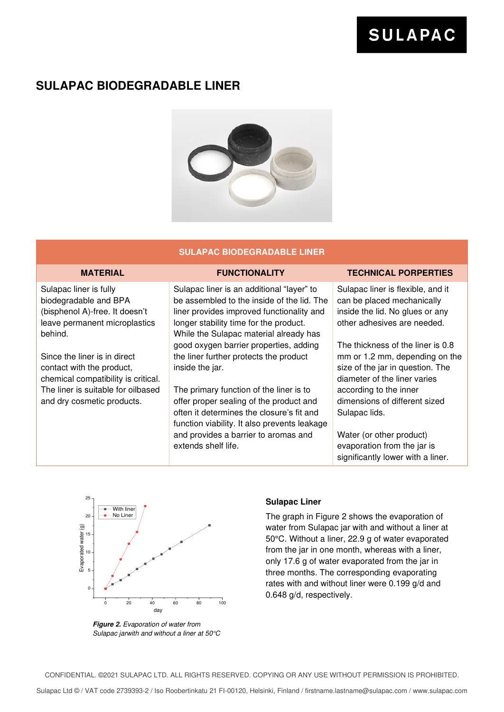### **SULAPAC BIODEGRADABLE LINER**



### **SULAPAC BIODEGRADABLE LINER**

Sulapac liner is fully biodegradable and BPA (bisphenol A)-free. It doesn't leave permanent microplastics behind.

Since the liner is in direct contact with the product, chemical compatibility is critical. The liner is suitable for oilbased and dry cosmetic products.

Sulapac liner is an additional "layer" to be assembled to the inside of the lid. The liner provides improved functionality and longer stability time for the product. While the Sulapac material already has good oxygen barrier properties, adding the liner further protects the product inside the jar.

The primary function of the liner is to offer proper sealing of the product and often it determines the closure's fit and function viability. It also prevents leakage and provides a barrier to aromas and extends shelf life.

#### **MATERIAL FUNCTIONALITY TECHNICAL PORPERTIES**

Sulapac liner is flexible, and it can be placed mechanically inside the lid. No glues or any other adhesives are needed.

The thickness of the liner is 0.8 mm or 1.2 mm, depending on the size of the jar in question. The diameter of the liner varies according to the inner dimensions of different sized Sulapac lids.

Water (or other product) evaporation from the jar is significantly lower with a liner.



**Figure 2.** Evaporation of water from Sulapac jarwith and without a liner at 50°C

### **Sulapac Liner**

The graph in Figure 2 shows the evaporation of water from Sulapac jar with and without a liner at 50°C. Without a liner, 22.9 g of water evaporated from the jar in one month, whereas with a liner, only 17.6 g of water evaporated from the jar in three months. The corresponding evaporating rates with and without liner were 0.199 g/d and 0.648 g/d, respectively.